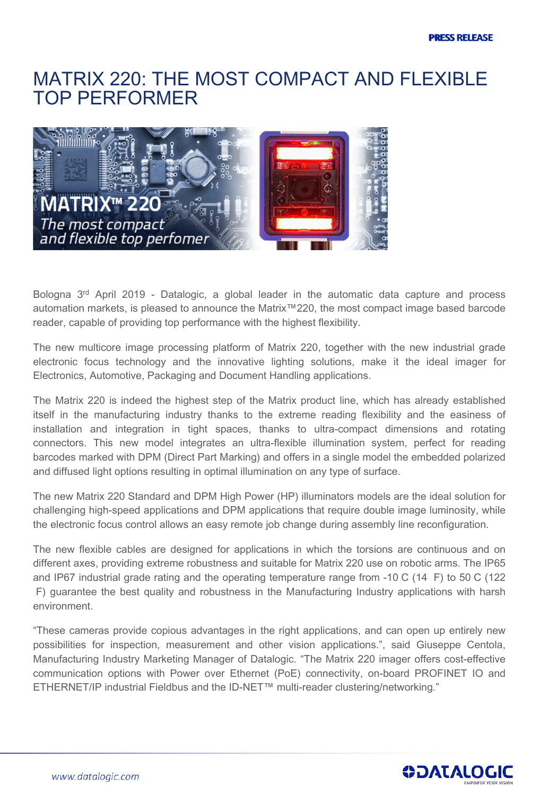## **MATRIX 220: THE MOST COMPACT AND FLEXIBLE TOP PERFORMER**



**Bologna 3 rd April 2019 - Datalogic, a global leader in the automatic data capture and process automation markets, is pleased to announce the Matrix™220, the most compact image based barcode reader, capable of providing top performance with the highest flexibility.**

**The new multicore image processing platform of Matrix 220, together with the new industrial grade electronic focus technology and the innovative lighting solutions, make it the ideal imager for Electronics, Automotive, Packaging and Document Handling applications.**

**The Matrix 220 is indeed the highest step of the Matrix product line, which has already established itself in the manufacturing industry thanks to the extreme reading flexibility and the easiness of installation and integration in tight spaces, thanks to ultra-compact dimensions and rotating connectors. This new model integrates an ultra-flexible illumination system, perfect for reading barcodes marked with DPM (Direct Part Marking) and offers in a single model the embedded polarized and diffused light options resulting in optimal illumination on any type of surface.**

**The new Matrix 220 Standard and DPM High Power (HP) illuminators models are the ideal solution for challenging high-speed applications and DPM applications that require double image luminosity, while the electronic focus control allows an easy remote job change during assembly line reconfiguration.**

**The new flexible cables are designed for applications in which the torsions are continuous and on different axes, providing extreme robustness and suitable for Matrix 220 use on robotic arms. The IP65 and IP67 industrial grade rating and the operating temperature range from -10°C (14 °F) to 50°C (122 °F) guarantee the best quality and robustness in the Manufacturing Industry applications with harsh environment.**

**"These cameras provide copious advantages in the right applications, and can open up entirely new possibilities for inspection, measurement and other vision applications.", said Giuseppe Centola, Manufacturing Industry Marketing Manager of Datalogic. "The Matrix 220 imager offers cost-effective communication options with Power over Ethernet (PoE) connectivity, on-board PROFINET IO and ETHERNET/IP industrial Fieldbus and the ID-NET™ multi-reader clustering/networking."**